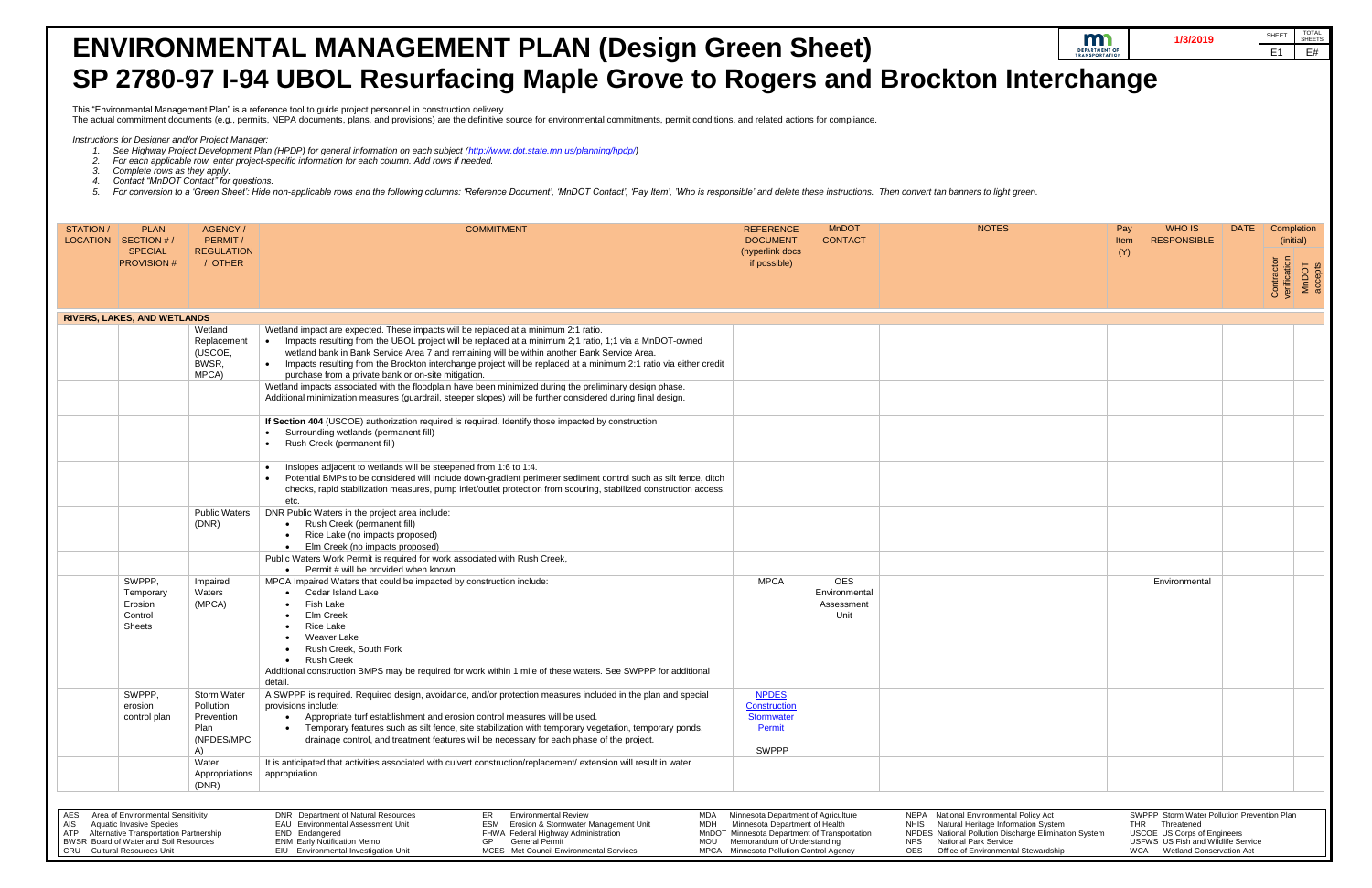- *2. For each applicable row, enter project-specific information for each column. Add rows if needed.*
- *3. Complete rows as they apply.*
- *4. Contact "MnDOT Contact" for questions.*
- 5. For conversion to a 'Green Sheet': Hide non-applicable rows and the following columns: 'Reference Document', 'MnDOT Contact', 'Pay Item', 'Who is responsible' and delete these instructions. Then convert tan banners to l

 *Instructions for Designer and/or Project Manager:* 

# **ENVIRONMENTAL MANAGEMENT PLAN (Design Green Sheet) SP 2780-97 I-94 UBOL Resurfacing Maple Grove to Rogers and Brockton**

This "Environmental Management Plan" is a reference tool to guide project personnel in construction delivery.

 *1. See Highway Project Development Plan (HPDP) for general information on each subject [\(http://www.dot.state.mn.us/planning/hpdp/\)](http://www.dot.state.mn.us/planning/hpdp/)* 

The actual commitment documents (e.g., permits, NEPA documents, plans, and provisions) are the definitive source for environmental commitments, permit conditions, and related actions for compliance.

|                   | $\blacksquare$                          | 1/3/2019           |             | <b>SHEET</b>               | <b>TOTAL</b><br><b>SHEETS</b> |
|-------------------|-----------------------------------------|--------------------|-------------|----------------------------|-------------------------------|
|                   | <b>DEPARTMENT OF<br/>TRANSPORTATION</b> |                    |             | E <sub>1</sub>             | E#                            |
|                   |                                         |                    |             |                            |                               |
| n Interchange     |                                         |                    |             |                            |                               |
|                   |                                         |                    |             |                            |                               |
|                   |                                         |                    |             |                            |                               |
|                   |                                         |                    |             |                            |                               |
|                   |                                         |                    |             |                            |                               |
|                   |                                         |                    |             |                            |                               |
|                   |                                         |                    |             |                            |                               |
|                   |                                         |                    |             |                            |                               |
| s to light green. |                                         |                    |             |                            |                               |
|                   |                                         |                    |             |                            |                               |
|                   |                                         |                    |             |                            |                               |
| <b>NOTES</b>      | Pay                                     | <b>WHO IS</b>      | <b>DATE</b> | Completion                 |                               |
|                   | Item                                    | <b>RESPONSIBLE</b> |             | (initial)                  |                               |
|                   | (Y)                                     |                    |             |                            |                               |
|                   |                                         |                    |             |                            |                               |
|                   |                                         |                    |             |                            | MnDOT<br>accepts              |
|                   |                                         |                    |             | Contractor<br>verification |                               |
|                   |                                         |                    |             |                            |                               |
|                   |                                         |                    |             |                            |                               |
|                   |                                         |                    |             |                            |                               |
|                   |                                         |                    |             |                            |                               |
|                   |                                         |                    |             |                            |                               |
|                   |                                         |                    |             |                            |                               |
|                   |                                         |                    |             |                            |                               |
|                   |                                         |                    |             |                            |                               |
|                   |                                         |                    |             |                            |                               |
|                   |                                         |                    |             |                            |                               |
|                   |                                         |                    |             |                            |                               |
|                   |                                         |                    |             |                            |                               |
|                   |                                         |                    |             |                            |                               |
|                   |                                         |                    |             |                            |                               |
|                   |                                         |                    |             |                            |                               |
|                   |                                         |                    |             |                            |                               |
|                   |                                         |                    |             |                            |                               |
|                   |                                         |                    |             |                            |                               |
|                   |                                         |                    |             |                            |                               |
|                   |                                         |                    |             |                            |                               |
|                   |                                         | Environmental      |             |                            |                               |
|                   |                                         |                    |             |                            |                               |
|                   |                                         |                    |             |                            |                               |
|                   |                                         |                    |             |                            |                               |
|                   |                                         |                    |             |                            |                               |
|                   |                                         |                    |             |                            |                               |
|                   |                                         |                    |             |                            |                               |
|                   |                                         |                    |             |                            |                               |
|                   |                                         |                    |             |                            |                               |
|                   |                                         |                    |             |                            |                               |
|                   |                                         |                    |             |                            |                               |
|                   |                                         |                    |             |                            |                               |
|                   |                                         |                    |             |                            |                               |
|                   |                                         |                    |             |                            |                               |
|                   |                                         |                    |             |                            |                               |
|                   |                                         |                    |             |                            |                               |
|                   |                                         |                    |             |                            |                               |
|                   |                                         |                    |             |                            |                               |

| tal Policy Act             |            | SWPPP Storm Water Pollution Prevention Plan |
|----------------------------|------------|---------------------------------------------|
| rmation System             | THR        | Threatened                                  |
| scharge Elimination System |            | <b>USCOE</b> US Corps of Engineers          |
|                            |            | USFWS US Fish and Wildlife Service          |
| ital Stewardship           | <b>WCA</b> | <b>Wetland Conservation Act</b>             |
|                            |            |                                             |

| STATION /  | <b>PLAN</b><br>LOCATION SECTION # /<br><b>SPECIAL</b><br><b>PROVISION#</b>                                                                                                                  | AGENCY/<br>PERMIT/<br><b>REGULATION</b><br>/ OTHER                        | <b>COMMITMENT</b>                                                                                                                                                                                                                                                                                                                                                                                                                                                                       | <b>REFERENCE</b><br><b>DOCUMENT</b><br>(hyperlink docs<br>if possible)                                                                                                                          | <b>MnDOT</b><br><b>CONTACT</b>                    | <b>NOTES</b>                                                                                                                                                                                                                                   | Pay<br>Item<br>(Y) | WHO IS<br><b>RESPONSIBLE</b>                                                                                                                                              | <b>DATE</b> | Compl<br>(initi<br>Contractor<br>verification |
|------------|---------------------------------------------------------------------------------------------------------------------------------------------------------------------------------------------|---------------------------------------------------------------------------|-----------------------------------------------------------------------------------------------------------------------------------------------------------------------------------------------------------------------------------------------------------------------------------------------------------------------------------------------------------------------------------------------------------------------------------------------------------------------------------------|-------------------------------------------------------------------------------------------------------------------------------------------------------------------------------------------------|---------------------------------------------------|------------------------------------------------------------------------------------------------------------------------------------------------------------------------------------------------------------------------------------------------|--------------------|---------------------------------------------------------------------------------------------------------------------------------------------------------------------------|-------------|-----------------------------------------------|
|            | <b>RIVERS, LAKES, AND WETLANDS</b>                                                                                                                                                          |                                                                           |                                                                                                                                                                                                                                                                                                                                                                                                                                                                                         |                                                                                                                                                                                                 |                                                   |                                                                                                                                                                                                                                                |                    |                                                                                                                                                                           |             |                                               |
|            |                                                                                                                                                                                             | Wetland<br>Replacement<br>(USCOE,<br>BWSR,<br>MPCA)                       | Wetland impact are expected. These impacts will be replaced at a minimum 2:1 ratio.<br>Impacts resulting from the UBOL project will be replaced at a minimum 2;1 ratio, 1;1 via a MnDOT-owned<br>$\bullet$<br>wetland bank in Bank Service Area 7 and remaining will be within another Bank Service Area.<br>• Impacts resulting from the Brockton interchange project will be replaced at a minimum 2:1 ratio via either credit<br>purchase from a private bank or on-site mitigation. |                                                                                                                                                                                                 |                                                   |                                                                                                                                                                                                                                                |                    |                                                                                                                                                                           |             |                                               |
|            |                                                                                                                                                                                             |                                                                           | Wetland impacts associated with the floodplain have been minimized during the preliminary design phase.<br>Additional minimization measures (guardrail, steeper slopes) will be further considered during final design.                                                                                                                                                                                                                                                                 |                                                                                                                                                                                                 |                                                   |                                                                                                                                                                                                                                                |                    |                                                                                                                                                                           |             |                                               |
|            |                                                                                                                                                                                             |                                                                           | If Section 404 (USCOE) authorization required is required. Identify those impacted by construction<br>Surrounding wetlands (permanent fill)<br>Rush Creek (permanent fill)                                                                                                                                                                                                                                                                                                              |                                                                                                                                                                                                 |                                                   |                                                                                                                                                                                                                                                |                    |                                                                                                                                                                           |             |                                               |
|            |                                                                                                                                                                                             |                                                                           | Inslopes adjacent to wetlands will be steepened from 1:6 to 1:4.<br>$\bullet$<br>Potential BMPs to be considered will include down-gradient perimeter sediment control such as silt fence, ditch<br>checks, rapid stabilization measures, pump inlet/outlet protection from scouring, stabilized construction access,<br>etc.                                                                                                                                                           |                                                                                                                                                                                                 |                                                   |                                                                                                                                                                                                                                                |                    |                                                                                                                                                                           |             |                                               |
|            |                                                                                                                                                                                             | <b>Public Waters</b><br>(DNR)                                             | DNR Public Waters in the project area include:<br>Rush Creek (permanent fill)<br>Rice Lake (no impacts proposed)<br>Elm Creek (no impacts proposed)                                                                                                                                                                                                                                                                                                                                     |                                                                                                                                                                                                 |                                                   |                                                                                                                                                                                                                                                |                    |                                                                                                                                                                           |             |                                               |
|            |                                                                                                                                                                                             |                                                                           | Public Waters Work Permit is required for work associated with Rush Creek,<br>Permit # will be provided when known<br>$\bullet$                                                                                                                                                                                                                                                                                                                                                         |                                                                                                                                                                                                 |                                                   |                                                                                                                                                                                                                                                |                    |                                                                                                                                                                           |             |                                               |
|            | SWPPP,<br>Temporary<br>Erosion<br>Control<br><b>Sheets</b>                                                                                                                                  | Impaired<br>Waters<br>(MPCA)                                              | MPCA Impaired Waters that could be impacted by construction include:<br>Cedar Island Lake<br>Fish Lake<br>Elm Creek<br><b>Rice Lake</b><br>Weaver Lake<br>Rush Creek, South Fork<br><b>Rush Creek</b><br>$\bullet$<br>Additional construction BMPS may be required for work within 1 mile of these waters. See SWPPP for additional<br>detail                                                                                                                                           | <b>MPCA</b>                                                                                                                                                                                     | <b>OES</b><br>Environmental<br>Assessment<br>Unit |                                                                                                                                                                                                                                                |                    | Environmental                                                                                                                                                             |             |                                               |
|            | SWPPP,<br>erosion<br>control plan                                                                                                                                                           | <b>Storm Water</b><br>Pollution<br>Prevention<br>Plan<br>(NPDES/MPC<br>A) | A SWPPP is required. Required design, avoidance, and/or protection measures included in the plan and special<br>provisions include:<br>Appropriate turf establishment and erosion control measures will be used.<br>$\bullet$<br>Temporary features such as silt fence, site stabilization with temporary vegetation, temporary ponds,<br>drainage control, and treatment features will be necessary for each phase of the project.                                                     | <b>NPDES</b><br>Construction<br><b>Stormwater</b><br>Permit<br><b>SWPPP</b>                                                                                                                     |                                                   |                                                                                                                                                                                                                                                |                    |                                                                                                                                                                           |             |                                               |
|            |                                                                                                                                                                                             | Water<br>Appropriations<br>(DNR)                                          | It is anticipated that activities associated with culvert construction/replacement/extension will result in water<br>appropriation.                                                                                                                                                                                                                                                                                                                                                     |                                                                                                                                                                                                 |                                                   |                                                                                                                                                                                                                                                |                    |                                                                                                                                                                           |             |                                               |
| AES<br>AIS | Area of Environmental Sensitivity<br><b>Aquatic Invasive Species</b><br>ATP Alternative Transportation Partnership<br>BWSR Board of Water and Soil Resources<br>CRU Cultural Resources Unit |                                                                           | DNR Department of Natural Resources<br>ER<br><b>Environmental Review</b><br>MDA<br>ESM Erosion & Stormwater Management Unit<br>EAU Environmental Assessment Unit<br>MDH<br>END Endangered<br>FHWA Federal Highway Administration<br><b>ENM Early Notification Memo</b><br>GP<br><b>General Permit</b><br>MOU<br>EIU Environmental Investigation Unit<br>MCES Met Council Environmental Services                                                                                         | Minnesota Department of Agriculture<br>Minnesota Department of Health<br>MnDOT Minnesota Department of Transportation<br>Memorandum of Understanding<br>MPCA Minnesota Pollution Control Agency |                                                   | NEPA National Environmental Policy Act<br>NHIS Natural Heritage Information System<br>NPDES National Pollution Discharge Elimination System<br><b>National Park Service</b><br><b>NPS</b><br><b>OES</b><br>Office of Environmental Stewardship |                    | SWPPP Storm Water Pollution Prevention Plan<br>THR Threatened<br><b>USCOE US Corps of Engineers</b><br>USFWS US Fish and Wildlife Service<br>WCA Wetland Conservation Act |             |                                               |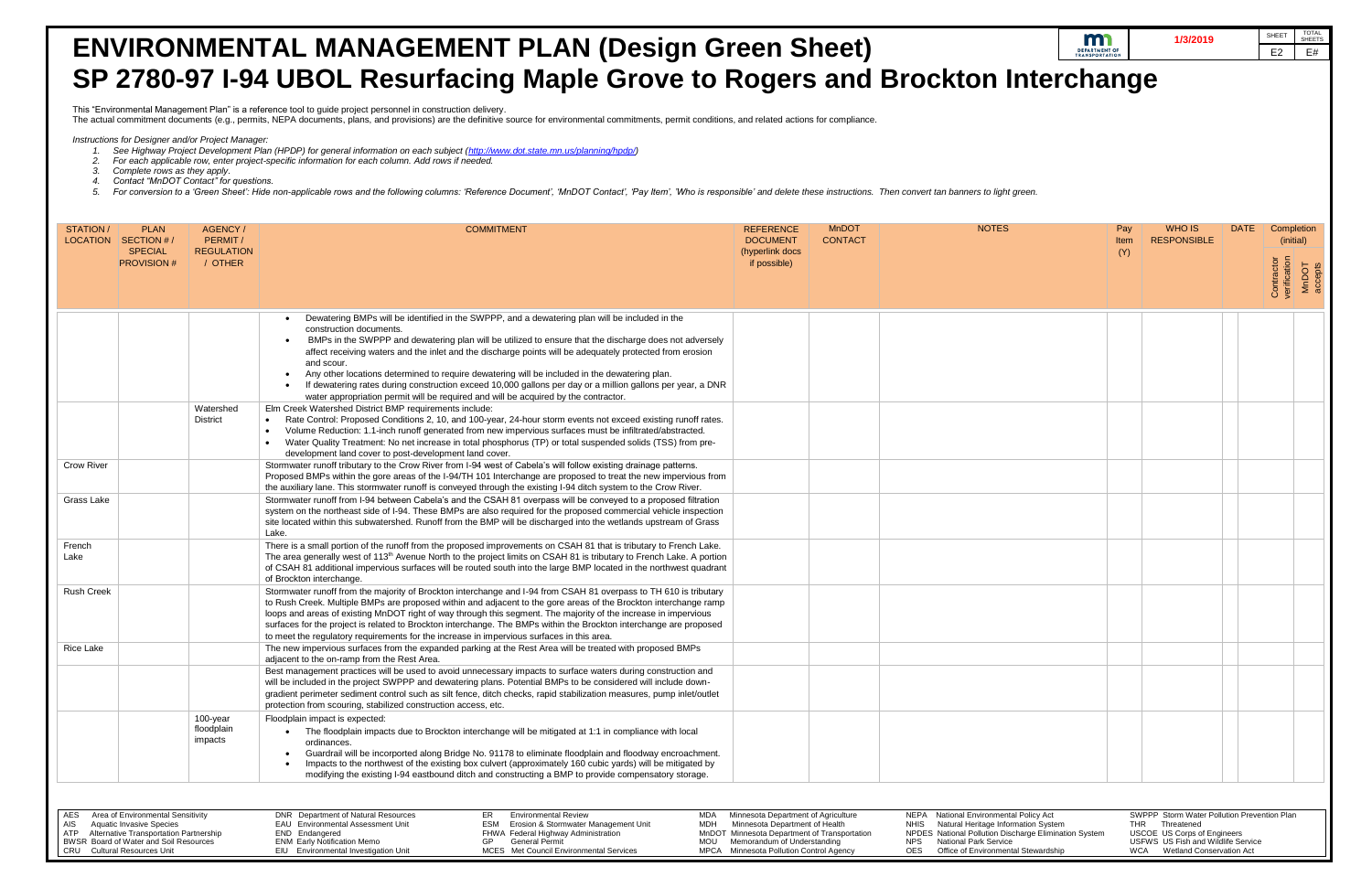- *2. For each applicable row, enter project-specific information for each column. Add rows if needed.*
- *3. Complete rows as they apply.*
- 
- 

|                   |                                                                                                                                                                                                |                                         | <b>ENVIRONMENTAL MANAGEMENT PLAN (Design Green Sheet)</b>                                                                                                                                                                                                                                                                                                                                                                                                                                                                                                                   |                                                                                                                                                                                                 |                |                                                                                                                                                                                                                               | m<br><b>DEPARTMENT OF<br/>TRANSPORTATION</b> | 1/3/2019                                                                                                                                                                  |             | TOTAL<br>SHEETS<br>SHEET<br>E2<br>E#                        |
|-------------------|------------------------------------------------------------------------------------------------------------------------------------------------------------------------------------------------|-----------------------------------------|-----------------------------------------------------------------------------------------------------------------------------------------------------------------------------------------------------------------------------------------------------------------------------------------------------------------------------------------------------------------------------------------------------------------------------------------------------------------------------------------------------------------------------------------------------------------------------|-------------------------------------------------------------------------------------------------------------------------------------------------------------------------------------------------|----------------|-------------------------------------------------------------------------------------------------------------------------------------------------------------------------------------------------------------------------------|----------------------------------------------|---------------------------------------------------------------------------------------------------------------------------------------------------------------------------|-------------|-------------------------------------------------------------|
|                   |                                                                                                                                                                                                |                                         | SP 2780-97 I-94 UBOL Resurfacing Maple Grove to Rogers and Brockton Interchange                                                                                                                                                                                                                                                                                                                                                                                                                                                                                             |                                                                                                                                                                                                 |                |                                                                                                                                                                                                                               |                                              |                                                                                                                                                                           |             |                                                             |
|                   |                                                                                                                                                                                                |                                         | This "Environmental Management Plan" is a reference tool to guide project personnel in construction delivery.                                                                                                                                                                                                                                                                                                                                                                                                                                                               |                                                                                                                                                                                                 |                |                                                                                                                                                                                                                               |                                              |                                                                                                                                                                           |             |                                                             |
|                   |                                                                                                                                                                                                |                                         | The actual commitment documents (e.g., permits, NEPA documents, plans, and provisions) are the definitive source for environmental commitments, permit conditions, and related actions for compliance.                                                                                                                                                                                                                                                                                                                                                                      |                                                                                                                                                                                                 |                |                                                                                                                                                                                                                               |                                              |                                                                                                                                                                           |             |                                                             |
|                   | Instructions for Designer and/or Project Manager:<br>Complete rows as they apply.<br>Contact "MnDOT Contact" for questions.                                                                    |                                         | See Highway Project Development Plan (HPDP) for general information on each subject (http://www.dot.state.mn.us/planning/hpdp/)<br>For each applicable row, enter project-specific information for each column. Add rows if needed.<br>For conversion to a 'Green Sheet': Hide non-applicable rows and the following columns: 'Reference Document', 'MnDOT Contact', 'Pay Item', 'Who is responsible' and delete these instructions. Then convert tan banners to ligh                                                                                                       |                                                                                                                                                                                                 |                |                                                                                                                                                                                                                               |                                              |                                                                                                                                                                           |             |                                                             |
| STATION/          | <b>PLAN</b>                                                                                                                                                                                    | AGENCY/                                 | <b>COMMITMENT</b>                                                                                                                                                                                                                                                                                                                                                                                                                                                                                                                                                           | <b>REFERENCE</b>                                                                                                                                                                                | <b>MnDOT</b>   | <b>NOTES</b>                                                                                                                                                                                                                  | Pay                                          | WHO IS                                                                                                                                                                    | <b>DATE</b> | Completion                                                  |
|                   | LOCATION SECTION #<br><b>SPECIAL</b><br><b>PROVISION#</b>                                                                                                                                      | PERMIT/<br><b>REGULATION</b><br>/ OTHER |                                                                                                                                                                                                                                                                                                                                                                                                                                                                                                                                                                             | <b>DOCUMENT</b><br>(hyperlink docs<br>if possible)                                                                                                                                              | <b>CONTACT</b> |                                                                                                                                                                                                                               | Item<br>(Y)                                  | <b>RESPONSIBLE</b>                                                                                                                                                        |             | (initial)<br>Contractor<br>verification<br>MnDOT<br>accepts |
|                   |                                                                                                                                                                                                |                                         | Dewatering BMPs will be identified in the SWPPP, and a dewatering plan will be included in the                                                                                                                                                                                                                                                                                                                                                                                                                                                                              |                                                                                                                                                                                                 |                |                                                                                                                                                                                                                               |                                              |                                                                                                                                                                           |             |                                                             |
|                   |                                                                                                                                                                                                |                                         | construction documents.<br>BMPs in the SWPPP and dewatering plan will be utilized to ensure that the discharge does not adversely<br>affect receiving waters and the inlet and the discharge points will be adequately protected from erosion<br>and scour.                                                                                                                                                                                                                                                                                                                 |                                                                                                                                                                                                 |                |                                                                                                                                                                                                                               |                                              |                                                                                                                                                                           |             |                                                             |
|                   |                                                                                                                                                                                                |                                         | Any other locations determined to require dewatering will be included in the dewatering plan.<br>If dewatering rates during construction exceed 10,000 gallons per day or a million gallons per year, a DNR<br>water appropriation permit will be required and will be acquired by the contractor.                                                                                                                                                                                                                                                                          |                                                                                                                                                                                                 |                |                                                                                                                                                                                                                               |                                              |                                                                                                                                                                           |             |                                                             |
|                   |                                                                                                                                                                                                | Watershed<br><b>District</b>            | Elm Creek Watershed District BMP requirements include:<br>Rate Control: Proposed Conditions 2, 10, and 100-year, 24-hour storm events not exceed existing runoff rates.<br>Volume Reduction: 1.1-inch runoff generated from new impervious surfaces must be infiltrated/abstracted.<br>Water Quality Treatment: No net increase in total phosphorus (TP) or total suspended solids (TSS) from pre-<br>development land cover to post-development land cover.                                                                                                                |                                                                                                                                                                                                 |                |                                                                                                                                                                                                                               |                                              |                                                                                                                                                                           |             |                                                             |
| <b>Crow River</b> |                                                                                                                                                                                                |                                         | Stormwater runoff tributary to the Crow River from I-94 west of Cabela's will follow existing drainage patterns.<br>Proposed BMPs within the gore areas of the I-94/TH 101 Interchange are proposed to treat the new impervious from<br>the auxiliary lane. This stormwater runoff is conveyed through the existing I-94 ditch system to the Crow River.                                                                                                                                                                                                                    |                                                                                                                                                                                                 |                |                                                                                                                                                                                                                               |                                              |                                                                                                                                                                           |             |                                                             |
| Grass Lake        |                                                                                                                                                                                                |                                         | Stormwater runoff from I-94 between Cabela's and the CSAH 81 overpass will be conveyed to a proposed filtration<br>system on the northeast side of I-94. These BMPs are also required for the proposed commercial vehicle inspection<br>site located within this subwatershed. Runoff from the BMP will be discharged into the wetlands upstream of Grass<br>Lake.                                                                                                                                                                                                          |                                                                                                                                                                                                 |                |                                                                                                                                                                                                                               |                                              |                                                                                                                                                                           |             |                                                             |
| French<br>Lake    |                                                                                                                                                                                                |                                         | There is a small portion of the runoff from the proposed improvements on CSAH 81 that is tributary to French Lake.<br>The area generally west of 113 <sup>th</sup> Avenue North to the project limits on CSAH 81 is tributary to French Lake. A portion<br>of CSAH 81 additional impervious surfaces will be routed south into the large BMP located in the northwest quadrant<br>of Brockton interchange.                                                                                                                                                                  |                                                                                                                                                                                                 |                |                                                                                                                                                                                                                               |                                              |                                                                                                                                                                           |             |                                                             |
| <b>Rush Creek</b> |                                                                                                                                                                                                |                                         | Stormwater runoff from the majority of Brockton interchange and I-94 from CSAH 81 overpass to TH 610 is tributary<br>to Rush Creek. Multiple BMPs are proposed within and adjacent to the gore areas of the Brockton interchange ramp<br>loops and areas of existing MnDOT right of way through this segment. The majority of the increase in impervious<br>surfaces for the project is related to Brockton interchange. The BMPs within the Brockton interchange are proposed<br>to meet the regulatory requirements for the increase in impervious surfaces in this area. |                                                                                                                                                                                                 |                |                                                                                                                                                                                                                               |                                              |                                                                                                                                                                           |             |                                                             |
| Rice Lake         |                                                                                                                                                                                                |                                         | The new impervious surfaces from the expanded parking at the Rest Area will be treated with proposed BMPs<br>adjacent to the on-ramp from the Rest Area.                                                                                                                                                                                                                                                                                                                                                                                                                    |                                                                                                                                                                                                 |                |                                                                                                                                                                                                                               |                                              |                                                                                                                                                                           |             |                                                             |
|                   |                                                                                                                                                                                                |                                         | Best management practices will be used to avoid unnecessary impacts to surface waters during construction and<br>will be included in the project SWPPP and dewatering plans. Potential BMPs to be considered will include down-<br>gradient perimeter sediment control such as silt fence, ditch checks, rapid stabilization measures, pump inlet/outlet<br>protection from scouring, stabilized construction access, etc.                                                                                                                                                  |                                                                                                                                                                                                 |                |                                                                                                                                                                                                                               |                                              |                                                                                                                                                                           |             |                                                             |
|                   |                                                                                                                                                                                                | 100-year<br>floodplain<br>impacts       | Floodplain impact is expected:<br>The floodplain impacts due to Brockton interchange will be mitigated at 1:1 in compliance with local<br>ordinances.<br>Guardrail will be incorported along Bridge No. 91178 to eliminate floodplain and floodway encroachment.<br>Impacts to the northwest of the existing box culvert (approximately 160 cubic yards) will be mitigated by<br>modifying the existing I-94 eastbound ditch and constructing a BMP to provide compensatory storage.                                                                                        |                                                                                                                                                                                                 |                |                                                                                                                                                                                                                               |                                              |                                                                                                                                                                           |             |                                                             |
|                   |                                                                                                                                                                                                |                                         |                                                                                                                                                                                                                                                                                                                                                                                                                                                                                                                                                                             |                                                                                                                                                                                                 |                |                                                                                                                                                                                                                               |                                              |                                                                                                                                                                           |             |                                                             |
| AES<br>AIS<br>ATP | Area of Environmental Sensitivity<br><b>Aquatic Invasive Species</b><br>Alternative Transportation Partnership<br>BWSR Board of Water and Soil Resources<br><b>CRU</b> Cultural Resources Unit |                                         | DNR Department of Natural Resources<br><b>Environmental Review</b><br>ER<br>MDA<br>EAU Environmental Assessment Unit<br>Erosion & Stormwater Management Unit<br>ESM<br>MDH<br>END Endangered<br>FHWA Federal Highway Administration<br><b>ENM Early Notification Memo</b><br><b>General Permit</b><br>GP<br>MOU<br>EIU Environmental Investigation Unit<br>MCES Met Council Environmental Services                                                                                                                                                                          | Minnesota Department of Agriculture<br>Minnesota Department of Health<br>MnDOT Minnesota Department of Transportation<br>Memorandum of Understanding<br>MPCA Minnesota Pollution Control Agency |                | NEPA National Environmental Policy Act<br>NHIS Natural Heritage Information System<br>NPDES National Pollution Discharge Elimination System<br><b>National Park Service</b><br>NPS<br>OES Office of Environmental Stewardship |                                              | SWPPP Storm Water Pollution Prevention Plan<br>THR Threatened<br><b>USCOE US Corps of Engineers</b><br>USFWS US Fish and Wildlife Service<br>WCA Wetland Conservation Act |             |                                                             |

| tal Policy Act             |            | SWPPP Storm Water Pollution Prevention Plan |
|----------------------------|------------|---------------------------------------------|
| rmation System             | THR        | Threatened                                  |
| scharge Elimination System |            | <b>USCOE</b> US Corps of Engineers          |
|                            |            | USFWS US Fish and Wildlife Service          |
| ntal Stewardship           | <b>WCA</b> | <b>Wetland Conservation Act</b>             |
|                            |            |                                             |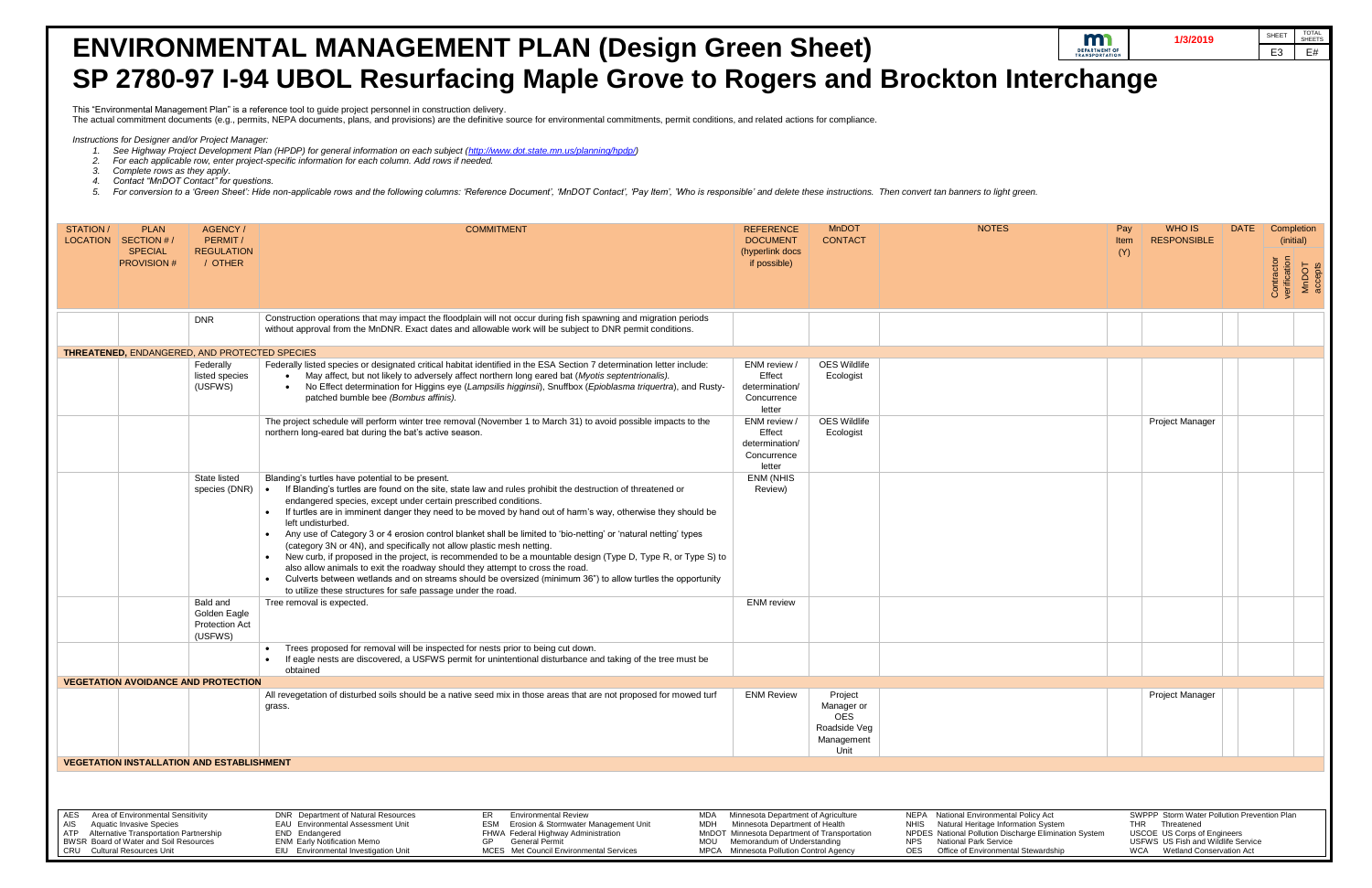- *1. See Highway Project Development Plan (HPDP) for general information on each subject [\(http://www.dot.state.mn.us/planning/hpdp/\)](http://www.dot.state.mn.us/planning/hpdp/)*
- *2. For each applicable row, enter project-specific information for each column. Add rows if needed.*
- *3. Complete rows as they apply.*
- *4. Contact "MnDOT Contact" for questions.*
- 5. For conversion to a 'Green Sheet': Hide non-applicable rows and the following columns: 'Reference Document', 'MnDOT Contact', 'Pay Item', 'Who is responsible' and delete these instructions. Then convert tan banners to l

# **ENVIRONMENTAL MANAGEMENT PLAN (Design Green Sheet) SP 2780-97 I-94 UBOL Resurfacing Maple Grove to Rogers and Brockton I**

This "Environmental Management Plan" is a reference tool to guide project personnel in construction delivery.

The actual commitment documents (e.g., permits, NEPA documents, plans, and provisions) are the definitive source for environmental commitments, permit conditions, and related actions for compliance.

 *Instructions for Designer and/or Project Manager:* 

|                                    |                                               |             | 1/3/2019                                    |             | <b>SHEET</b>               | TOTAL<br>SHEETS  |
|------------------------------------|-----------------------------------------------|-------------|---------------------------------------------|-------------|----------------------------|------------------|
|                                    | <b>DEPARTMENT OF</b><br><b>TRANSPORTATION</b> |             |                                             |             | E <sub>3</sub>             | E#               |
| n Interchange<br>s to light green. |                                               |             |                                             |             |                            |                  |
| <b>NOTES</b>                       |                                               | Pay<br>Item | <b>WHO IS</b><br><b>RESPONSIBLE</b>         | <b>DATE</b> | Completion<br>(initial)    |                  |
|                                    |                                               | (Y)         |                                             |             |                            |                  |
|                                    |                                               |             |                                             |             | Contractor<br>verification | MnDOT<br>accepts |
|                                    |                                               |             |                                             |             |                            |                  |
|                                    |                                               |             |                                             |             |                            |                  |
|                                    |                                               |             |                                             |             |                            |                  |
|                                    |                                               |             | Project Manager                             |             |                            |                  |
|                                    |                                               |             |                                             |             |                            |                  |
|                                    |                                               |             |                                             |             |                            |                  |
|                                    |                                               |             |                                             |             |                            |                  |
|                                    |                                               |             | Project Manager                             |             |                            |                  |
|                                    |                                               |             |                                             |             |                            |                  |
| vironmental Policy Act             |                                               |             | SWPPP Storm Water Pollution Prevention Plan |             |                            |                  |

| AES Area of Environmental Sensitivity      | DNR Department of Natural Resources      | Environmental Review                            | MDA Minnesota Department of Agriculture      | NEPA National Environmental Policy Act                | SWPPP Storm Water Pollution Prevention Plan |
|--------------------------------------------|------------------------------------------|-------------------------------------------------|----------------------------------------------|-------------------------------------------------------|---------------------------------------------|
| AIS Aquatic Invasive Species               | <b>EAU</b> Environmental Assessment Unit | <b>ESM</b> Erosion & Stormwater Management Unit | MDH Minnesota Department of Health           | NHIS Natural Heritage Information System              | THR Threatened                              |
| ATP Alternative Transportation Partnership | END Endangered                           | FHWA Federal Highway Administration             | MnDOT Minnesota Department of Transportation | NPDES National Pollution Discharge Elimination System | USCOE US Corps of Engineers                 |
| BWSR Board of Water and Soil Resources     | <b>ENM Early Notification Memo</b>       | General Permit                                  | MOU Memorandum of Understanding              | NPS National Park Service                             | USFWS US Fish and Wildlife Service          |
| CRU Cultural Resources Unit                | EIU Environmental Investigation Unit     | MCES Met Council Environmental Services         | MPCA Minnesota Pollution Control Agency      | OES Office of Environmental Stewardship               | WCA Wetland Conservation Act                |

| STATION /  | <b>PLAN</b><br>LOCATION SECTION #/<br><b>SPECIAL</b><br><b>PROVISION #</b>                                         | AGENCY/<br>PERMIT/<br><b>REGULATION</b><br>/ OTHER           | <b>COMMITMENT</b>                                                                                                                                                                                                                                                                                                                                                                                                                                                                                                                                                                                                                                                                                                                                                                                                                                                                                                                                              | <b>REFERENCE</b><br><b>DOCUMENT</b><br>(hyperlink docs<br>if possible)                                                | <b>MnDOT</b><br><b>CONTACT</b>                                            | <b>NOTES</b>                                                                                                                                   | Pay<br>Item<br>(Y) | <b>WHO IS</b><br><b>RESPONSIBLE</b>                                                                 | DATE | Compl<br>(initi<br>Contractor<br>verification |
|------------|--------------------------------------------------------------------------------------------------------------------|--------------------------------------------------------------|----------------------------------------------------------------------------------------------------------------------------------------------------------------------------------------------------------------------------------------------------------------------------------------------------------------------------------------------------------------------------------------------------------------------------------------------------------------------------------------------------------------------------------------------------------------------------------------------------------------------------------------------------------------------------------------------------------------------------------------------------------------------------------------------------------------------------------------------------------------------------------------------------------------------------------------------------------------|-----------------------------------------------------------------------------------------------------------------------|---------------------------------------------------------------------------|------------------------------------------------------------------------------------------------------------------------------------------------|--------------------|-----------------------------------------------------------------------------------------------------|------|-----------------------------------------------|
|            |                                                                                                                    | <b>DNR</b>                                                   | Construction operations that may impact the floodplain will not occur during fish spawning and migration periods<br>without approval from the MnDNR. Exact dates and allowable work will be subject to DNR permit conditions.                                                                                                                                                                                                                                                                                                                                                                                                                                                                                                                                                                                                                                                                                                                                  |                                                                                                                       |                                                                           |                                                                                                                                                |                    |                                                                                                     |      |                                               |
|            |                                                                                                                    |                                                              |                                                                                                                                                                                                                                                                                                                                                                                                                                                                                                                                                                                                                                                                                                                                                                                                                                                                                                                                                                |                                                                                                                       |                                                                           |                                                                                                                                                |                    |                                                                                                     |      |                                               |
|            |                                                                                                                    | THREATENED, ENDANGERED, AND PROTECTED SPECIES                |                                                                                                                                                                                                                                                                                                                                                                                                                                                                                                                                                                                                                                                                                                                                                                                                                                                                                                                                                                |                                                                                                                       |                                                                           |                                                                                                                                                |                    |                                                                                                     |      |                                               |
|            |                                                                                                                    | Federally<br>listed species<br>(USFWS)                       | Federally listed species or designated critical habitat identified in the ESA Section 7 determination letter include:<br>May affect, but not likely to adversely affect northern long eared bat (Myotis septentrionalis).<br>No Effect determination for Higgins eye (Lampsilis higginsii), Snuffbox (Epioblasma triquertra), and Rusty-<br>$\bullet$<br>patched bumble bee (Bombus affinis).                                                                                                                                                                                                                                                                                                                                                                                                                                                                                                                                                                  | ENM review /<br>Effect<br>determination/<br>Concurrence<br>letter                                                     | <b>OES Wildlife</b><br>Ecologist                                          |                                                                                                                                                |                    |                                                                                                     |      |                                               |
|            |                                                                                                                    |                                                              | The project schedule will perform winter tree removal (November 1 to March 31) to avoid possible impacts to the<br>northern long-eared bat during the bat's active season.                                                                                                                                                                                                                                                                                                                                                                                                                                                                                                                                                                                                                                                                                                                                                                                     | ENM review /<br>Effect<br>determination/<br>Concurrence<br>letter                                                     | <b>OES Wildlife</b><br>Ecologist                                          |                                                                                                                                                |                    | Project Manager                                                                                     |      |                                               |
|            |                                                                                                                    | State listed<br>species (DNR)                                | Blanding's turtles have potential to be present.<br>If Blanding's turtles are found on the site, state law and rules prohibit the destruction of threatened or<br>endangered species, except under certain prescribed conditions.<br>If turtles are in imminent danger they need to be moved by hand out of harm's way, otherwise they should be<br>left undisturbed.<br>Any use of Category 3 or 4 erosion control blanket shall be limited to 'bio-netting' or 'natural netting' types<br>(category 3N or 4N), and specifically not allow plastic mesh netting.<br>New curb, if proposed in the project, is recommended to be a mountable design (Type D, Type R, or Type S) to<br>also allow animals to exit the roadway should they attempt to cross the road.<br>Culverts between wetlands and on streams should be oversized (minimum 36") to allow turtles the opportunity<br>$\bullet$<br>to utilize these structures for safe passage under the road. | <b>ENM (NHIS</b><br>Review)                                                                                           |                                                                           |                                                                                                                                                |                    |                                                                                                     |      |                                               |
|            |                                                                                                                    | Bald and<br>Golden Eagle<br><b>Protection Act</b><br>(USFWS) | Tree removal is expected.                                                                                                                                                                                                                                                                                                                                                                                                                                                                                                                                                                                                                                                                                                                                                                                                                                                                                                                                      | <b>ENM</b> review                                                                                                     |                                                                           |                                                                                                                                                |                    |                                                                                                     |      |                                               |
|            |                                                                                                                    |                                                              | Trees proposed for removal will be inspected for nests prior to being cut down.<br>If eagle nests are discovered, a USFWS permit for unintentional disturbance and taking of the tree must be<br>obtained                                                                                                                                                                                                                                                                                                                                                                                                                                                                                                                                                                                                                                                                                                                                                      |                                                                                                                       |                                                                           |                                                                                                                                                |                    |                                                                                                     |      |                                               |
|            |                                                                                                                    | <b>VEGETATION AVOIDANCE AND PROTECTION</b>                   |                                                                                                                                                                                                                                                                                                                                                                                                                                                                                                                                                                                                                                                                                                                                                                                                                                                                                                                                                                |                                                                                                                       |                                                                           |                                                                                                                                                |                    |                                                                                                     |      |                                               |
|            |                                                                                                                    |                                                              | All revegetation of disturbed soils should be a native seed mix in those areas that are not proposed for mowed turf<br>grass.                                                                                                                                                                                                                                                                                                                                                                                                                                                                                                                                                                                                                                                                                                                                                                                                                                  | <b>ENM Review</b>                                                                                                     | Project<br>Manager or<br><b>OES</b><br>Roadside Veg<br>Management<br>Unit |                                                                                                                                                |                    | <b>Project Manager</b>                                                                              |      |                                               |
|            |                                                                                                                    | <b>VEGETATION INSTALLATION AND ESTABLISHMENT</b>             |                                                                                                                                                                                                                                                                                                                                                                                                                                                                                                                                                                                                                                                                                                                                                                                                                                                                                                                                                                |                                                                                                                       |                                                                           |                                                                                                                                                |                    |                                                                                                     |      |                                               |
| AES<br>AIS | Area of Environmental Sensitivity<br><b>Aquatic Invasive Species</b><br>ATP Alternative Transportation Partnership |                                                              | DNR Department of Natural Resources<br><b>Environmental Review</b><br>ER<br>MDA<br>EAU Environmental Assessment Unit<br>Erosion & Stormwater Management Unit<br>ESM<br>MDH<br>END Endangered<br>FHWA Federal Highway Administration                                                                                                                                                                                                                                                                                                                                                                                                                                                                                                                                                                                                                                                                                                                            | Minnesota Department of Agriculture<br>Minnesota Department of Health<br>MnDOT Minnesota Department of Transportation |                                                                           | NEPA National Environmental Policy Act<br>Natural Heritage Information System<br>NHIS<br>NPDES National Pollution Discharge Elimination System |                    | SWPPP Storm Water Pollution Prevention Plan<br>THR Threatened<br><b>USCOE US Corps of Engineers</b> |      |                                               |
|            | BWSR Board of Water and Soil Resources                                                                             |                                                              | <b>ENM Early Notification Memo</b><br><b>General Permit</b><br>GP<br>MOU                                                                                                                                                                                                                                                                                                                                                                                                                                                                                                                                                                                                                                                                                                                                                                                                                                                                                       | Memorandum of Understanding                                                                                           |                                                                           | NPS National Park Service                                                                                                                      |                    | USFWS US Fish and Wildlife Service                                                                  |      |                                               |

**CRU** Cultural Resources Unit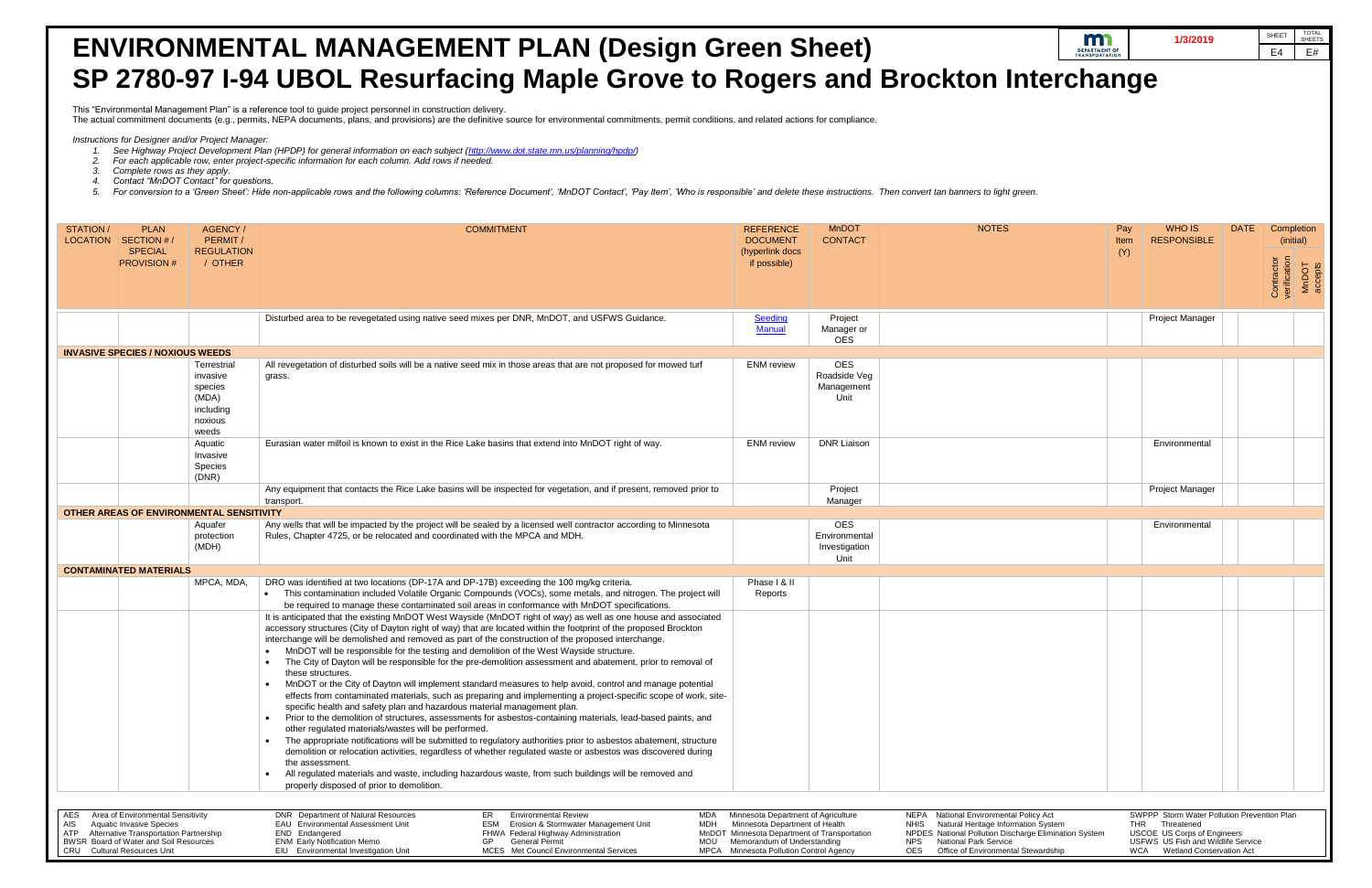- *1. See Highway Project Development Plan (HPDP) for general information on each subject [\(http://www.dot.state.mn.us/planning/hpdp/\)](http://www.dot.state.mn.us/planning/hpdp/)*
- *2. For each applicable row, enter project-specific information for each column. Add rows if needed.*
- *3. Complete rows as they apply.*
- *4. Contact "MnDOT Contact" for questions.*
- 5. For conversion to a 'Green Sheet': Hide non-applicable rows and the following columns: 'Reference Document', 'MnDOT Contact', 'Pay Item', 'Who is responsible' and delete these instructions. Then convert tan banners to l

## **ENVIRONMENTAL MANAGEMENT PLAN (Design Green Sheet) SP 2780-97 I-94 UBOL Resurfacing Maple Grove to Rogers and Brockton I**

This "Environmental Management Plan" is a reference tool to guide project personnel in construction delivery.

The actual commitment documents (e.g., permits, NEPA documents, plans, and provisions) are the definitive source for environmental commitments, permit conditions, and related actions for compliance.

 *Instructions for Designer and/or Project Manager:* 

|                                                                  |                       |             | 1/3/2019                                                       |             | <b>SHEET</b>               | <b>TOTAL</b><br><b>SHEETS</b> |
|------------------------------------------------------------------|-----------------------|-------------|----------------------------------------------------------------|-------------|----------------------------|-------------------------------|
|                                                                  | <b>TRANSPORTATION</b> |             |                                                                |             | E4                         | E#                            |
| <b>n Interchange</b>                                             |                       |             |                                                                |             |                            |                               |
|                                                                  |                       |             |                                                                |             |                            |                               |
|                                                                  |                       |             |                                                                |             |                            |                               |
|                                                                  |                       |             |                                                                |             |                            |                               |
|                                                                  |                       |             |                                                                |             |                            |                               |
|                                                                  |                       |             |                                                                |             |                            |                               |
| s to light green.                                                |                       |             |                                                                |             |                            |                               |
|                                                                  |                       |             |                                                                |             |                            |                               |
| <b>NOTES</b>                                                     |                       | Pay         | <b>WHO IS</b>                                                  | <b>DATE</b> | Completion                 |                               |
|                                                                  |                       | Item<br>(Y) | <b>RESPONSIBLE</b>                                             |             | (initial)                  |                               |
|                                                                  |                       |             |                                                                |             | Contractor<br>verification |                               |
|                                                                  |                       |             |                                                                |             |                            | MnDOT<br>accepts              |
|                                                                  |                       |             |                                                                |             |                            |                               |
|                                                                  |                       |             | Project Manager                                                |             |                            |                               |
|                                                                  |                       |             |                                                                |             |                            |                               |
|                                                                  |                       |             |                                                                |             |                            |                               |
|                                                                  |                       |             |                                                                |             |                            |                               |
|                                                                  |                       |             |                                                                |             |                            |                               |
|                                                                  |                       |             |                                                                |             |                            |                               |
|                                                                  |                       |             | Environmental                                                  |             |                            |                               |
|                                                                  |                       |             |                                                                |             |                            |                               |
|                                                                  |                       |             |                                                                |             |                            |                               |
|                                                                  |                       |             | Project Manager                                                |             |                            |                               |
|                                                                  |                       |             |                                                                |             |                            |                               |
|                                                                  |                       |             | Environmental                                                  |             |                            |                               |
|                                                                  |                       |             |                                                                |             |                            |                               |
|                                                                  |                       |             |                                                                |             |                            |                               |
|                                                                  |                       |             |                                                                |             |                            |                               |
|                                                                  |                       |             |                                                                |             |                            |                               |
|                                                                  |                       |             |                                                                |             |                            |                               |
|                                                                  |                       |             |                                                                |             |                            |                               |
|                                                                  |                       |             |                                                                |             |                            |                               |
|                                                                  |                       |             |                                                                |             |                            |                               |
|                                                                  |                       |             |                                                                |             |                            |                               |
|                                                                  |                       |             |                                                                |             |                            |                               |
|                                                                  |                       |             |                                                                |             |                            |                               |
|                                                                  |                       |             |                                                                |             |                            |                               |
|                                                                  |                       |             |                                                                |             |                            |                               |
|                                                                  |                       |             |                                                                |             |                            |                               |
| vironmental Policy Act                                           |                       |             | SWPPP Storm Water Pollution Prevention Plan                    |             |                            |                               |
| itage Information System<br>Ilution Discharge Elimination System |                       | THR         | Threatened<br>USCOE US Corps of Engineers                      |             |                            |                               |
| rk Service<br>vironmontal Rtowardchin                            |                       | MCM         | USFWS US Fish and Wildlife Service<br>Wotland Conconvation Act |             |                            |                               |

| STATION /<br><b>PLAN</b><br>LOCATION SECTION #/<br><b>SPECIAL</b><br><b>PROVISION #</b>                                                                                                                             | AGENCY/<br>PERMIT/<br><b>REGULATION</b><br>/ OTHER                           | <b>COMMITMENT</b>                                                                                                                                                                                                                                                                                                                                                                                                                                                                                                                                                                                                                                                                                                                                                                                                                                                                                                                                                                                                                                                                                                                                                                                                                                                                                                                                                                                                                                                                          | <b>REFERENCE</b><br><b>DOCUMENT</b><br>(hyperlink docs<br>if possible)                                                                                                                          | <b>MnDOT</b><br><b>CONTACT</b>                       | <b>NOTES</b>                                                                                                                                                                                                                               | Pay<br>Item<br>(Y) | WHO IS<br><b>RESPONSIBLE</b>                                                                                                                     | <b>DATE</b> | Compl<br>(initi<br>Contractor<br>verification |
|---------------------------------------------------------------------------------------------------------------------------------------------------------------------------------------------------------------------|------------------------------------------------------------------------------|--------------------------------------------------------------------------------------------------------------------------------------------------------------------------------------------------------------------------------------------------------------------------------------------------------------------------------------------------------------------------------------------------------------------------------------------------------------------------------------------------------------------------------------------------------------------------------------------------------------------------------------------------------------------------------------------------------------------------------------------------------------------------------------------------------------------------------------------------------------------------------------------------------------------------------------------------------------------------------------------------------------------------------------------------------------------------------------------------------------------------------------------------------------------------------------------------------------------------------------------------------------------------------------------------------------------------------------------------------------------------------------------------------------------------------------------------------------------------------------------|-------------------------------------------------------------------------------------------------------------------------------------------------------------------------------------------------|------------------------------------------------------|--------------------------------------------------------------------------------------------------------------------------------------------------------------------------------------------------------------------------------------------|--------------------|--------------------------------------------------------------------------------------------------------------------------------------------------|-------------|-----------------------------------------------|
|                                                                                                                                                                                                                     |                                                                              | Disturbed area to be revegetated using native seed mixes per DNR, MnDOT, and USFWS Guidance.                                                                                                                                                                                                                                                                                                                                                                                                                                                                                                                                                                                                                                                                                                                                                                                                                                                                                                                                                                                                                                                                                                                                                                                                                                                                                                                                                                                               | Seeding<br>Manual                                                                                                                                                                               | Project<br>Manager or                                |                                                                                                                                                                                                                                            |                    | Project Manager                                                                                                                                  |             |                                               |
|                                                                                                                                                                                                                     |                                                                              |                                                                                                                                                                                                                                                                                                                                                                                                                                                                                                                                                                                                                                                                                                                                                                                                                                                                                                                                                                                                                                                                                                                                                                                                                                                                                                                                                                                                                                                                                            |                                                                                                                                                                                                 | <b>OES</b>                                           |                                                                                                                                                                                                                                            |                    |                                                                                                                                                  |             |                                               |
| <b>INVASIVE SPECIES / NOXIOUS WEEDS</b>                                                                                                                                                                             |                                                                              |                                                                                                                                                                                                                                                                                                                                                                                                                                                                                                                                                                                                                                                                                                                                                                                                                                                                                                                                                                                                                                                                                                                                                                                                                                                                                                                                                                                                                                                                                            |                                                                                                                                                                                                 |                                                      |                                                                                                                                                                                                                                            |                    |                                                                                                                                                  |             |                                               |
|                                                                                                                                                                                                                     | Terrestrial<br>invasive<br>species<br>(MDA)<br>including<br>noxious<br>weeds | All revegetation of disturbed soils will be a native seed mix in those areas that are not proposed for mowed turf<br>grass.                                                                                                                                                                                                                                                                                                                                                                                                                                                                                                                                                                                                                                                                                                                                                                                                                                                                                                                                                                                                                                                                                                                                                                                                                                                                                                                                                                | <b>ENM</b> review                                                                                                                                                                               | <b>OES</b><br>Roadside Veg<br>Management<br>Unit     |                                                                                                                                                                                                                                            |                    |                                                                                                                                                  |             |                                               |
|                                                                                                                                                                                                                     | Aquatic<br>Invasive<br>Species<br>(DNR)                                      | Eurasian water milfoil is known to exist in the Rice Lake basins that extend into MnDOT right of way.                                                                                                                                                                                                                                                                                                                                                                                                                                                                                                                                                                                                                                                                                                                                                                                                                                                                                                                                                                                                                                                                                                                                                                                                                                                                                                                                                                                      | <b>ENM</b> review                                                                                                                                                                               | <b>DNR Liaison</b>                                   |                                                                                                                                                                                                                                            |                    | Environmental                                                                                                                                    |             |                                               |
|                                                                                                                                                                                                                     |                                                                              | Any equipment that contacts the Rice Lake basins will be inspected for vegetation, and if present, removed prior to<br>transport.                                                                                                                                                                                                                                                                                                                                                                                                                                                                                                                                                                                                                                                                                                                                                                                                                                                                                                                                                                                                                                                                                                                                                                                                                                                                                                                                                          |                                                                                                                                                                                                 | Project<br>Manager                                   |                                                                                                                                                                                                                                            |                    | <b>Project Manager</b>                                                                                                                           |             |                                               |
| OTHER AREAS OF ENVIRONMENTAL SENSITIVITY                                                                                                                                                                            |                                                                              |                                                                                                                                                                                                                                                                                                                                                                                                                                                                                                                                                                                                                                                                                                                                                                                                                                                                                                                                                                                                                                                                                                                                                                                                                                                                                                                                                                                                                                                                                            |                                                                                                                                                                                                 |                                                      |                                                                                                                                                                                                                                            |                    |                                                                                                                                                  |             |                                               |
|                                                                                                                                                                                                                     | Aquafer<br>protection<br>(MDH)                                               | Any wells that will be impacted by the project will be sealed by a licensed well contractor according to Minnesota<br>Rules, Chapter 4725, or be relocated and coordinated with the MPCA and MDH.                                                                                                                                                                                                                                                                                                                                                                                                                                                                                                                                                                                                                                                                                                                                                                                                                                                                                                                                                                                                                                                                                                                                                                                                                                                                                          |                                                                                                                                                                                                 | <b>OES</b><br>Environmental<br>Investigation<br>Unit |                                                                                                                                                                                                                                            |                    | Environmental                                                                                                                                    |             |                                               |
| <b>CONTAMINATED MATERIALS</b>                                                                                                                                                                                       |                                                                              |                                                                                                                                                                                                                                                                                                                                                                                                                                                                                                                                                                                                                                                                                                                                                                                                                                                                                                                                                                                                                                                                                                                                                                                                                                                                                                                                                                                                                                                                                            |                                                                                                                                                                                                 |                                                      |                                                                                                                                                                                                                                            |                    |                                                                                                                                                  |             |                                               |
|                                                                                                                                                                                                                     | MPCA, MDA,                                                                   | DRO was identified at two locations (DP-17A and DP-17B) exceeding the 100 mg/kg criteria.<br>• This contamination included Volatile Organic Compounds (VOCs), some metals, and nitrogen. The project will<br>be required to manage these contaminated soil areas in conformance with MnDOT specifications.                                                                                                                                                                                                                                                                                                                                                                                                                                                                                                                                                                                                                                                                                                                                                                                                                                                                                                                                                                                                                                                                                                                                                                                 | Phase I & II<br>Reports                                                                                                                                                                         |                                                      |                                                                                                                                                                                                                                            |                    |                                                                                                                                                  |             |                                               |
|                                                                                                                                                                                                                     |                                                                              | It is anticipated that the existing MnDOT West Wayside (MnDOT right of way) as well as one house and associated<br>accessory structures (City of Dayton right of way) that are located within the footprint of the proposed Brockton<br>interchange will be demolished and removed as part of the construction of the proposed interchange.<br>MnDOT will be responsible for the testing and demolition of the West Wayside structure.<br>The City of Dayton will be responsible for the pre-demolition assessment and abatement, prior to removal of<br>these structures.<br>MnDOT or the City of Dayton will implement standard measures to help avoid, control and manage potential<br>effects from contaminated materials, such as preparing and implementing a project-specific scope of work, site-<br>specific health and safety plan and hazardous material management plan.<br>Prior to the demolition of structures, assessments for asbestos-containing materials, lead-based paints, and<br>other regulated materials/wastes will be performed.<br>The appropriate notifications will be submitted to regulatory authorities prior to asbestos abatement, structure<br>$\bullet$<br>demolition or relocation activities, regardless of whether regulated waste or asbestos was discovered during<br>the assessment.<br>All regulated materials and waste, including hazardous waste, from such buildings will be removed and<br>٠<br>properly disposed of prior to demolition. |                                                                                                                                                                                                 |                                                      |                                                                                                                                                                                                                                            |                    |                                                                                                                                                  |             |                                               |
| Area of Environmental Sensitivity<br>AES<br><b>Aquatic Invasive Species</b><br>AIS<br>Alternative Transportation Partnership<br>ATP<br>BWSR Board of Water and Soil Resources<br><b>CRU</b> Cultural Resources Unit |                                                                              | DNR Department of Natural Resources<br><b>Environmental Review</b><br>ER<br>MDA<br>EAU Environmental Assessment Unit<br>ESM<br>Erosion & Stormwater Management Unit<br>MDH<br>END Endangered<br>FHWA Federal Highway Administration<br><b>ENM Early Notification Memo</b><br><b>General Permit</b><br>GP<br>MOU<br>EIU Environmental Investigation Unit<br>MCES Met Council Environmental Services                                                                                                                                                                                                                                                                                                                                                                                                                                                                                                                                                                                                                                                                                                                                                                                                                                                                                                                                                                                                                                                                                         | Minnesota Department of Agriculture<br>Minnesota Department of Health<br>MnDOT Minnesota Department of Transportation<br>Memorandum of Understanding<br>MPCA Minnesota Pollution Control Agency |                                                      | NEPA National Environmental Policy Act<br>Natural Heritage Information System<br>NHIS<br>NPDES National Pollution Discharge Elimination System<br><b>National Park Service</b><br>NPS<br><b>OES</b><br>Office of Environmental Stewardship | THR Threatened     | SWPPP Storm Water Pollution Prevention Plan<br>USCOE US Corps of Engineers<br>USFWS US Fish and Wildlife Service<br>WCA Wetland Conservation Act |             |                                               |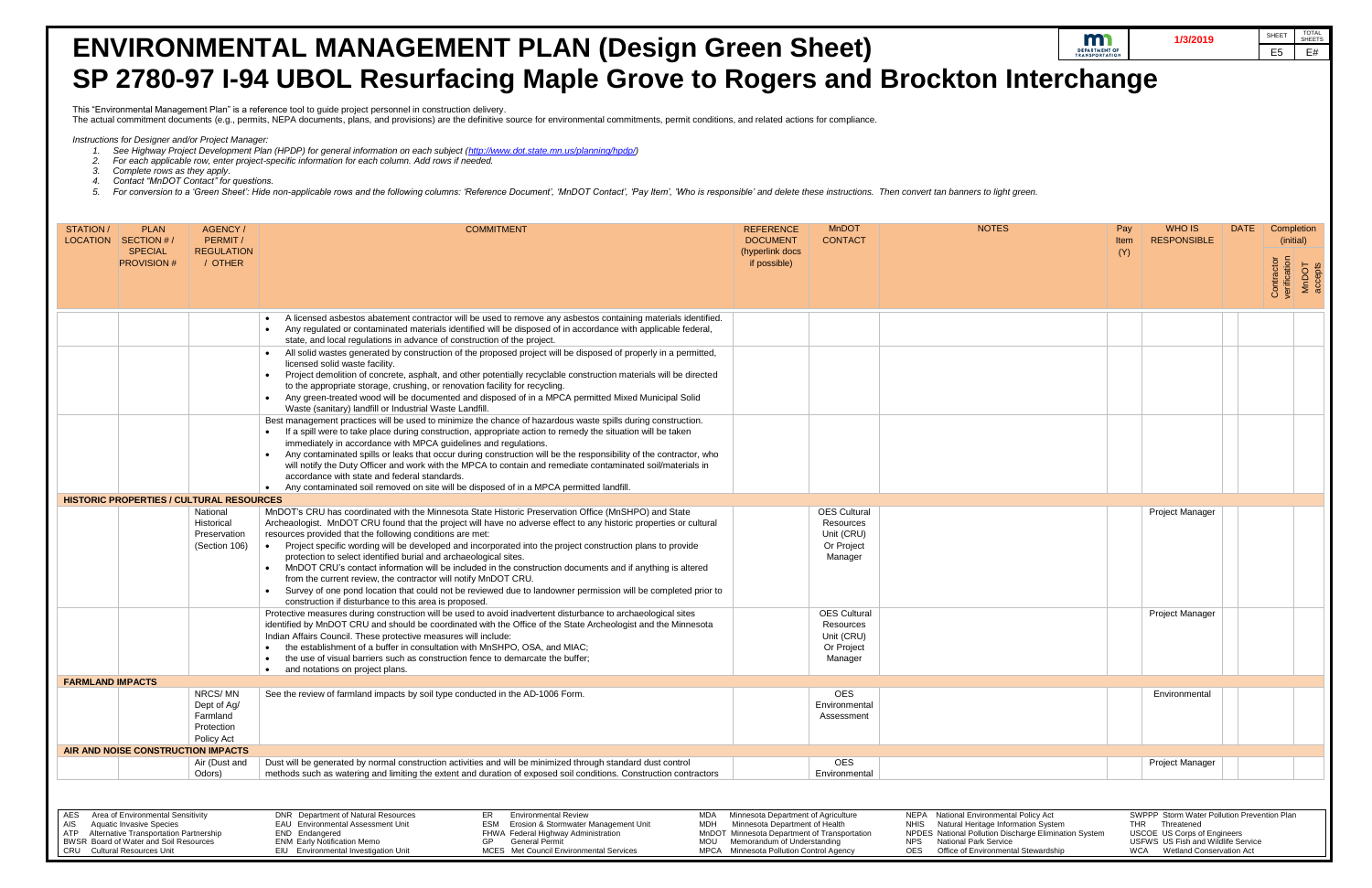- *2. For each applicable row, enter project-specific information for each column. Add rows if needed.*
- 
- 
- 

|                                                                                                                                                                                                              |                                                                | <b>ENVIRONMENTAL MANAGEMENT PLAN (Design Green Sheet)</b>                                                                                                                                                                                                                                                                                                                                                                                                                                                                                                                                                                                                                                                                                                                                                                          |                                                                                                                                                                                                 |                                                                         |                                                                                                                                                                                                                               | m<br><b>DEPARTMENT OF</b><br><b>TRANSPORTATION</b> | 1/3/2019                                                                                                                                                                  | TOTAL<br>SHEETS<br>SHEET<br>E <sub>5</sub><br>E# |
|--------------------------------------------------------------------------------------------------------------------------------------------------------------------------------------------------------------|----------------------------------------------------------------|------------------------------------------------------------------------------------------------------------------------------------------------------------------------------------------------------------------------------------------------------------------------------------------------------------------------------------------------------------------------------------------------------------------------------------------------------------------------------------------------------------------------------------------------------------------------------------------------------------------------------------------------------------------------------------------------------------------------------------------------------------------------------------------------------------------------------------|-------------------------------------------------------------------------------------------------------------------------------------------------------------------------------------------------|-------------------------------------------------------------------------|-------------------------------------------------------------------------------------------------------------------------------------------------------------------------------------------------------------------------------|----------------------------------------------------|---------------------------------------------------------------------------------------------------------------------------------------------------------------------------|--------------------------------------------------|
|                                                                                                                                                                                                              |                                                                | SP 2780-97 I-94 UBOL Resurfacing Maple Grove to Rogers and Brockton Interchange                                                                                                                                                                                                                                                                                                                                                                                                                                                                                                                                                                                                                                                                                                                                                    |                                                                                                                                                                                                 |                                                                         |                                                                                                                                                                                                                               |                                                    |                                                                                                                                                                           |                                                  |
|                                                                                                                                                                                                              |                                                                | This "Environmental Management Plan" is a reference tool to guide project personnel in construction delivery.<br>The actual commitment documents (e.g., permits, NEPA documents, plans, and provisions) are the definitive source for environmental commitments, permit conditions, and related actions for compliance.                                                                                                                                                                                                                                                                                                                                                                                                                                                                                                            |                                                                                                                                                                                                 |                                                                         |                                                                                                                                                                                                                               |                                                    |                                                                                                                                                                           |                                                  |
| Instructions for Designer and/or Project Manager:                                                                                                                                                            |                                                                |                                                                                                                                                                                                                                                                                                                                                                                                                                                                                                                                                                                                                                                                                                                                                                                                                                    |                                                                                                                                                                                                 |                                                                         |                                                                                                                                                                                                                               |                                                    |                                                                                                                                                                           |                                                  |
| Complete rows as they apply.<br>Contact "MnDOT Contact" for questions.                                                                                                                                       |                                                                | See Highway Project Development Plan (HPDP) for general information on each subject (http://www.dot.state.mn.us/planning/hpdp/)<br>For each applicable row, enter project-specific information for each column. Add rows if needed.<br>For conversion to a 'Green Sheet': Hide non-applicable rows and the following columns: 'Reference Document', 'MnDOT Contact', 'Pay Item', 'Who is responsible' and delete these instructions. Then convert tan banners to ligh                                                                                                                                                                                                                                                                                                                                                              |                                                                                                                                                                                                 |                                                                         |                                                                                                                                                                                                                               |                                                    |                                                                                                                                                                           |                                                  |
| STATION /<br><b>PLAN</b><br>LOCATION SECTION #/                                                                                                                                                              | AGENCY/<br>PERMIT/                                             | <b>COMMITMENT</b>                                                                                                                                                                                                                                                                                                                                                                                                                                                                                                                                                                                                                                                                                                                                                                                                                  | <b>REFERENCE</b><br><b>DOCUMENT</b>                                                                                                                                                             | <b>MnDOT</b><br><b>CONTACT</b>                                          | <b>NOTES</b>                                                                                                                                                                                                                  | Pay<br>Item                                        | WHO IS<br><b>RESPONSIBLE</b>                                                                                                                                              | <b>DATE</b><br>Completior<br>(initial)           |
| <b>SPECIAL</b><br><b>PROVISION #</b>                                                                                                                                                                         | <b>REGULATION</b><br>/ OTHER                                   |                                                                                                                                                                                                                                                                                                                                                                                                                                                                                                                                                                                                                                                                                                                                                                                                                                    | (hyperlink docs<br>if possible)                                                                                                                                                                 |                                                                         |                                                                                                                                                                                                                               | (Y)                                                |                                                                                                                                                                           | Contractor<br>verification<br>MnDOT<br>accepts   |
|                                                                                                                                                                                                              |                                                                | A licensed asbestos abatement contractor will be used to remove any asbestos containing materials identified.<br>Any regulated or contaminated materials identified will be disposed of in accordance with applicable federal,<br>state, and local regulations in advance of construction of the project.                                                                                                                                                                                                                                                                                                                                                                                                                                                                                                                          |                                                                                                                                                                                                 |                                                                         |                                                                                                                                                                                                                               |                                                    |                                                                                                                                                                           |                                                  |
|                                                                                                                                                                                                              |                                                                | All solid wastes generated by construction of the proposed project will be disposed of properly in a permitted,<br>licensed solid waste facility.<br>Project demolition of concrete, asphalt, and other potentially recyclable construction materials will be directed<br>to the appropriate storage, crushing, or renovation facility for recycling.<br>Any green-treated wood will be documented and disposed of in a MPCA permitted Mixed Municipal Solid<br>Waste (sanitary) landfill or Industrial Waste Landfill.                                                                                                                                                                                                                                                                                                            |                                                                                                                                                                                                 |                                                                         |                                                                                                                                                                                                                               |                                                    |                                                                                                                                                                           |                                                  |
|                                                                                                                                                                                                              |                                                                | Best management practices will be used to minimize the chance of hazardous waste spills during construction.<br>If a spill were to take place during construction, appropriate action to remedy the situation will be taken<br>immediately in accordance with MPCA guidelines and regulations.<br>Any contaminated spills or leaks that occur during construction will be the responsibility of the contractor, who<br>will notify the Duty Officer and work with the MPCA to contain and remediate contaminated soil/materials in<br>accordance with state and federal standards.                                                                                                                                                                                                                                                 |                                                                                                                                                                                                 |                                                                         |                                                                                                                                                                                                                               |                                                    |                                                                                                                                                                           |                                                  |
| <b>HISTORIC PROPERTIES / CULTURAL RESOURCES</b>                                                                                                                                                              |                                                                | Any contaminated soil removed on site will be disposed of in a MPCA permitted landfill.                                                                                                                                                                                                                                                                                                                                                                                                                                                                                                                                                                                                                                                                                                                                            |                                                                                                                                                                                                 |                                                                         |                                                                                                                                                                                                                               |                                                    |                                                                                                                                                                           |                                                  |
|                                                                                                                                                                                                              | National<br>Historical<br>Preservation<br>(Section 106)        | MnDOT's CRU has coordinated with the Minnesota State Historic Preservation Office (MnSHPO) and State<br>Archeaologist. MnDOT CRU found that the project will have no adverse effect to any historic properties or cultural<br>resources provided that the following conditions are met:<br>Project specific wording will be developed and incorporated into the project construction plans to provide<br>protection to select identified burial and archaeological sites.<br>MnDOT CRU's contact information will be included in the construction documents and if anything is altered<br>from the current review, the contractor will notify MnDOT CRU.<br>Survey of one pond location that could not be reviewed due to landowner permission will be completed prior to<br>construction if disturbance to this area is proposed. |                                                                                                                                                                                                 | <b>OES Cultural</b><br>Resources<br>Unit (CRU)<br>Or Project<br>Manager |                                                                                                                                                                                                                               |                                                    | <b>Project Manager</b>                                                                                                                                                    |                                                  |
|                                                                                                                                                                                                              |                                                                | Protective measures during construction will be used to avoid inadvertent disturbance to archaeological sites<br>identified by MnDOT CRU and should be coordinated with the Office of the State Archeologist and the Minnesota<br>Indian Affairs Council. These protective measures will include:<br>the establishment of a buffer in consultation with MnSHPO, OSA, and MIAC:<br>the use of visual barriers such as construction fence to demarcate the buffer;<br>and notations on project plans.                                                                                                                                                                                                                                                                                                                                |                                                                                                                                                                                                 | <b>OES Cultural</b><br>Resources<br>Unit (CRU)<br>Or Project<br>Manager |                                                                                                                                                                                                                               |                                                    | <b>Project Manager</b>                                                                                                                                                    |                                                  |
| <b>FARMLAND IMPACTS</b>                                                                                                                                                                                      |                                                                |                                                                                                                                                                                                                                                                                                                                                                                                                                                                                                                                                                                                                                                                                                                                                                                                                                    |                                                                                                                                                                                                 |                                                                         |                                                                                                                                                                                                                               |                                                    |                                                                                                                                                                           |                                                  |
|                                                                                                                                                                                                              | NRCS/MN<br>Dept of Ag/<br>Farmland<br>Protection<br>Policy Act | See the review of farmland impacts by soil type conducted in the AD-1006 Form.                                                                                                                                                                                                                                                                                                                                                                                                                                                                                                                                                                                                                                                                                                                                                     |                                                                                                                                                                                                 | <b>OES</b><br>Environmental<br>Assessment                               |                                                                                                                                                                                                                               |                                                    | Environmental                                                                                                                                                             |                                                  |
| AIR AND NOISE CONSTRUCTION IMPACTS                                                                                                                                                                           | Air (Dust and                                                  | Dust will be generated by normal construction activities and will be minimized through standard dust control                                                                                                                                                                                                                                                                                                                                                                                                                                                                                                                                                                                                                                                                                                                       |                                                                                                                                                                                                 | <b>OES</b>                                                              |                                                                                                                                                                                                                               |                                                    | <b>Project Manager</b>                                                                                                                                                    |                                                  |
|                                                                                                                                                                                                              | Odors)                                                         | methods such as watering and limiting the extent and duration of exposed soil conditions. Construction contractors                                                                                                                                                                                                                                                                                                                                                                                                                                                                                                                                                                                                                                                                                                                 |                                                                                                                                                                                                 | Environmental                                                           |                                                                                                                                                                                                                               |                                                    |                                                                                                                                                                           |                                                  |
| Area of Environmental Sensitivity<br>AES<br><b>Aquatic Invasive Species</b><br>AIS<br>Alternative Transportation Partnership<br>ATP<br>BWSR Board of Water and Soil Resources<br>CRU Cultural Resources Unit |                                                                | DNR Department of Natural Resources<br>ER<br><b>Environmental Review</b><br>MDA<br>Erosion & Stormwater Management Unit<br><b>EAU</b> Environmental Assessment Unit<br>ESM<br>MDH<br>END Endangered<br>FHWA Federal Highway Administration<br><b>General Permit</b><br><b>ENM Early Notification Memo</b><br>GP<br>MOU<br>EIU Environmental Investigation Unit<br>MCES Met Council Environmental Services                                                                                                                                                                                                                                                                                                                                                                                                                          | Minnesota Department of Agriculture<br>Minnesota Department of Health<br>MnDOT Minnesota Department of Transportation<br>Memorandum of Understanding<br>MPCA Minnesota Pollution Control Agency |                                                                         | NEPA National Environmental Policy Act<br>NHIS Natural Heritage Information System<br>NPDES National Pollution Discharge Elimination System<br><b>National Park Service</b><br>NPS<br>OES Office of Environmental Stewardship |                                                    | SWPPP Storm Water Pollution Prevention Plan<br>THR Threatened<br><b>USCOE US Corps of Engineers</b><br>USFWS US Fish and Wildlife Service<br>WCA Wetland Conservation Act |                                                  |

| tal Policy Act             |     | SWPPP Storm Water Pollution Prevention Plan |
|----------------------------|-----|---------------------------------------------|
| ormation System            | THR | Threatened                                  |
| scharge Elimination System |     | <b>USCOE</b> US Corps of Engineers          |
| е                          |     | USFWS US Fish and Wildlife Service          |
| าtal Stewardship           | WCA | <b>Wetland Conservation Act</b>             |
|                            |     |                                             |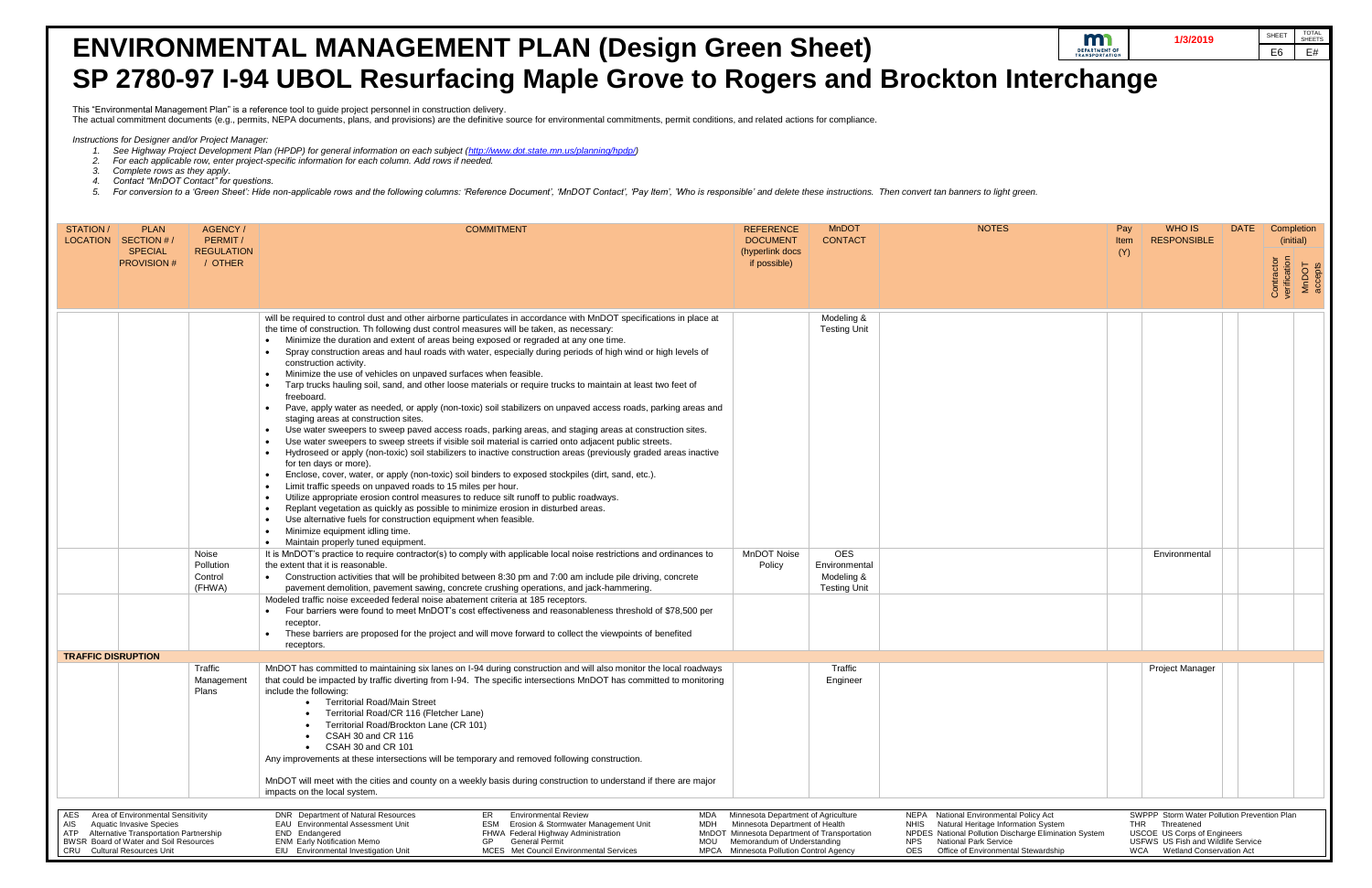- 
- *2. For each applicable row, enter project-specific information for each column. Add rows if needed.*
- 
- 
- 

| <b>ENVIRONMENTAL MANAGEMENT PLAN (Design Green Sheet)</b>                                                                                                                                                                                                                                                                                                                                                                                                                                                                                                                                            |                                     |                                |                                                                                                                                                                                                                                                                                                                                                                                                                                                                                                                                                                                                                                                                                                                                                                                                                                                                                                                                                                                                                                                                                                                                                                                                                                                                                                                                                                                                                                                                                                                                                                                                                                                                                                                                                                                                                                                                                                                                                        |                                                                                                                                                                                                                                                                                                                                                                                                                                               |                                                                                |              |                                                                                                                                                                           | m<br>1/3/2019<br><b>DEPARTMENT OF</b><br><b>TRANSPORTATIO</b> |             | <b>TOTAL</b><br>SHEET<br><b>SHEETS</b><br>E#<br>E <sub>6</sub> |  |
|------------------------------------------------------------------------------------------------------------------------------------------------------------------------------------------------------------------------------------------------------------------------------------------------------------------------------------------------------------------------------------------------------------------------------------------------------------------------------------------------------------------------------------------------------------------------------------------------------|-------------------------------------|--------------------------------|--------------------------------------------------------------------------------------------------------------------------------------------------------------------------------------------------------------------------------------------------------------------------------------------------------------------------------------------------------------------------------------------------------------------------------------------------------------------------------------------------------------------------------------------------------------------------------------------------------------------------------------------------------------------------------------------------------------------------------------------------------------------------------------------------------------------------------------------------------------------------------------------------------------------------------------------------------------------------------------------------------------------------------------------------------------------------------------------------------------------------------------------------------------------------------------------------------------------------------------------------------------------------------------------------------------------------------------------------------------------------------------------------------------------------------------------------------------------------------------------------------------------------------------------------------------------------------------------------------------------------------------------------------------------------------------------------------------------------------------------------------------------------------------------------------------------------------------------------------------------------------------------------------------------------------------------------------|-----------------------------------------------------------------------------------------------------------------------------------------------------------------------------------------------------------------------------------------------------------------------------------------------------------------------------------------------------------------------------------------------------------------------------------------------|--------------------------------------------------------------------------------|--------------|---------------------------------------------------------------------------------------------------------------------------------------------------------------------------|---------------------------------------------------------------|-------------|----------------------------------------------------------------|--|
| SP 2780-97 I-94 UBOL Resurfacing Maple Grove to Rogers and Brockton Interchange                                                                                                                                                                                                                                                                                                                                                                                                                                                                                                                      |                                     |                                |                                                                                                                                                                                                                                                                                                                                                                                                                                                                                                                                                                                                                                                                                                                                                                                                                                                                                                                                                                                                                                                                                                                                                                                                                                                                                                                                                                                                                                                                                                                                                                                                                                                                                                                                                                                                                                                                                                                                                        |                                                                                                                                                                                                                                                                                                                                                                                                                                               |                                                                                |              |                                                                                                                                                                           |                                                               |             |                                                                |  |
| This "Environmental Management Plan" is a reference tool to guide project personnel in construction delivery.<br>The actual commitment documents (e.g., permits, NEPA documents, plans, and provisions) are the definitive source for environmental commitments, permit conditions, and related actions for compliance.                                                                                                                                                                                                                                                                              |                                     |                                |                                                                                                                                                                                                                                                                                                                                                                                                                                                                                                                                                                                                                                                                                                                                                                                                                                                                                                                                                                                                                                                                                                                                                                                                                                                                                                                                                                                                                                                                                                                                                                                                                                                                                                                                                                                                                                                                                                                                                        |                                                                                                                                                                                                                                                                                                                                                                                                                                               |                                                                                |              |                                                                                                                                                                           |                                                               |             |                                                                |  |
| Instructions for Designer and/or Project Manager:<br>See Highway Project Development Plan (HPDP) for general information on each subject (http://www.dot.state.mn.us/planning/hpdp/)<br>For each applicable row, enter project-specific information for each column. Add rows if needed.<br>Complete rows as they apply.<br>Contact "MnDOT Contact" for questions.<br>For conversion to a 'Green Sheet': Hide non-applicable rows and the following columns: 'Reference Document', 'MnDOT Contact', 'Pay Item', 'Who is responsible' and delete these instructions. Then convert tan banners to ligh |                                     |                                |                                                                                                                                                                                                                                                                                                                                                                                                                                                                                                                                                                                                                                                                                                                                                                                                                                                                                                                                                                                                                                                                                                                                                                                                                                                                                                                                                                                                                                                                                                                                                                                                                                                                                                                                                                                                                                                                                                                                                        |                                                                                                                                                                                                                                                                                                                                                                                                                                               |                                                                                |              |                                                                                                                                                                           |                                                               |             |                                                                |  |
| STATION/<br>LOCATION                                                                                                                                                                                                                                                                                                                                                                                                                                                                                                                                                                                 | <b>PLAN</b><br>$\mid$ SECTION #     | AGENCY/<br>PERMIT/             | <b>COMMITMENT</b>                                                                                                                                                                                                                                                                                                                                                                                                                                                                                                                                                                                                                                                                                                                                                                                                                                                                                                                                                                                                                                                                                                                                                                                                                                                                                                                                                                                                                                                                                                                                                                                                                                                                                                                                                                                                                                                                                                                                      | <b>REFERENCE</b><br><b>DOCUMENT</b>                                                                                                                                                                                                                                                                                                                                                                                                           | <b>MnDOT</b><br><b>CONTACT</b>                                                 | <b>NOTES</b> | Pay<br>Item                                                                                                                                                               | WHO IS<br><b>RESPONSIBLE</b>                                  | <b>DATE</b> | Completion<br>(initial)                                        |  |
|                                                                                                                                                                                                                                                                                                                                                                                                                                                                                                                                                                                                      | <b>SPECIAL</b><br><b>PROVISION#</b> | <b>REGULATION</b><br>/ OTHER   |                                                                                                                                                                                                                                                                                                                                                                                                                                                                                                                                                                                                                                                                                                                                                                                                                                                                                                                                                                                                                                                                                                                                                                                                                                                                                                                                                                                                                                                                                                                                                                                                                                                                                                                                                                                                                                                                                                                                                        | (hyperlink docs<br>if possible)                                                                                                                                                                                                                                                                                                                                                                                                               |                                                                                |              | (Y)                                                                                                                                                                       |                                                               |             | Contractor<br>verification<br>MnDOT<br>accepts                 |  |
|                                                                                                                                                                                                                                                                                                                                                                                                                                                                                                                                                                                                      |                                     | Noise<br>Pollution<br>Control  | will be required to control dust and other airborne particulates in accordance with MnDOT specifications in place at<br>the time of construction. Th following dust control measures will be taken, as necessary:<br>Minimize the duration and extent of areas being exposed or regraded at any one time.<br>Spray construction areas and haul roads with water, especially during periods of high wind or high levels of<br>construction activity.<br>Minimize the use of vehicles on unpaved surfaces when feasible<br>Tarp trucks hauling soil, sand, and other loose materials or require trucks to maintain at least two feet of<br>freeboard.<br>Pave, apply water as needed, or apply (non-toxic) soil stabilizers on unpaved access roads, parking areas and<br>staging areas at construction sites<br>Use water sweepers to sweep paved access roads, parking areas, and staging areas at construction sites.<br>Use water sweepers to sweep streets if visible soil material is carried onto adjacent public streets.<br>Hydroseed or apply (non-toxic) soil stabilizers to inactive construction areas (previously graded areas inactive<br>for ten days or more).<br>Enclose, cover, water, or apply (non-toxic) soil binders to exposed stockpiles (dirt, sand, etc.).<br>Limit traffic speeds on unpaved roads to 15 miles per hour.<br>Utilize appropriate erosion control measures to reduce silt runoff to public roadways.<br>Replant vegetation as quickly as possible to minimize erosion in disturbed areas.<br>Use alternative fuels for construction equipment when feasible<br>Minimize equipment idling time<br>Maintain properly tuned equipment.<br>It is MnDOT's practice to require contractor(s) to comply with applicable local noise restrictions and ordinances to<br>the extent that it is reasonable.<br>Construction activities that will be prohibited between 8:30 pm and 7:00 am include pile driving, concrete | <b>MnDOT Noise</b><br>Policy                                                                                                                                                                                                                                                                                                                                                                                                                  | Modeling &<br><b>Testing Unit</b><br><b>OES</b><br>Environmental<br>Modeling & |              |                                                                                                                                                                           | Environmental                                                 |             |                                                                |  |
|                                                                                                                                                                                                                                                                                                                                                                                                                                                                                                                                                                                                      |                                     | (FHWA)                         | pavement demolition, pavement sawing, concrete crushing operations, and jack-hammering.<br>Modeled traffic noise exceeded federal noise abatement criteria at 185 receptors.                                                                                                                                                                                                                                                                                                                                                                                                                                                                                                                                                                                                                                                                                                                                                                                                                                                                                                                                                                                                                                                                                                                                                                                                                                                                                                                                                                                                                                                                                                                                                                                                                                                                                                                                                                           |                                                                                                                                                                                                                                                                                                                                                                                                                                               | <b>Testing Unit</b>                                                            |              |                                                                                                                                                                           |                                                               |             |                                                                |  |
|                                                                                                                                                                                                                                                                                                                                                                                                                                                                                                                                                                                                      |                                     |                                | Four barriers were found to meet MnDOT's cost effectiveness and reasonableness threshold of \$78,500 per<br>receptor<br>These barriers are proposed for the project and will move forward to collect the viewpoints of benefited                                                                                                                                                                                                                                                                                                                                                                                                                                                                                                                                                                                                                                                                                                                                                                                                                                                                                                                                                                                                                                                                                                                                                                                                                                                                                                                                                                                                                                                                                                                                                                                                                                                                                                                       |                                                                                                                                                                                                                                                                                                                                                                                                                                               |                                                                                |              |                                                                                                                                                                           |                                                               |             |                                                                |  |
| receptors<br><b>TRAFFIC DISRUPTION</b>                                                                                                                                                                                                                                                                                                                                                                                                                                                                                                                                                               |                                     |                                |                                                                                                                                                                                                                                                                                                                                                                                                                                                                                                                                                                                                                                                                                                                                                                                                                                                                                                                                                                                                                                                                                                                                                                                                                                                                                                                                                                                                                                                                                                                                                                                                                                                                                                                                                                                                                                                                                                                                                        |                                                                                                                                                                                                                                                                                                                                                                                                                                               |                                                                                |              |                                                                                                                                                                           |                                                               |             |                                                                |  |
|                                                                                                                                                                                                                                                                                                                                                                                                                                                                                                                                                                                                      |                                     | Traffic<br>Management<br>Plans | MnDOT has committed to maintaining six lanes on I-94 during construction and will also monitor the local roadways<br>that could be impacted by traffic diverting from I-94. The specific intersections MnDOT has committed to monitoring<br>include the following:<br>• Territorial Road/Main Street<br>Territorial Road/CR 116 (Fletcher Lane)<br>Territorial Road/Brockton Lane (CR 101)<br>CSAH 30 and CR 116<br>• CSAH 30 and CR 101<br>Any improvements at these intersections will be temporary and removed following construction.<br>MnDOT will meet with the cities and county on a weekly basis during construction to understand if there are major<br>impacts on the local system.                                                                                                                                                                                                                                                                                                                                                                                                                                                                                                                                                                                                                                                                                                                                                                                                                                                                                                                                                                                                                                                                                                                                                                                                                                                         |                                                                                                                                                                                                                                                                                                                                                                                                                                               | Traffic<br>Engineer                                                            |              |                                                                                                                                                                           | <b>Project Manager</b>                                        |             |                                                                |  |
| Area of Environmental Sensitivity<br>AES<br>AIS<br><b>Aquatic Invasive Species</b><br>ATP<br>Alternative Transportation Partnership<br>BWSR Board of Water and Soil Resources<br><b>CRU</b> Cultural Resources Unit                                                                                                                                                                                                                                                                                                                                                                                  |                                     |                                | DNR Department of Natural Resources<br><b>Environmental Review</b><br>MDA<br>ER<br>EAU Environmental Assessment Unit<br>Erosion & Stormwater Management Unit<br>MDH<br>ESM<br>END Endangered<br>FHWA Federal Highway Administration<br><b>ENM Early Notification Memo</b><br>GP<br><b>General Permit</b><br>MOU<br>EIU Environmental Investigation Unit<br>MCES Met Council Environmental Services                                                                                                                                                                                                                                                                                                                                                                                                                                                                                                                                                                                                                                                                                                                                                                                                                                                                                                                                                                                                                                                                                                                                                                                                                                                                                                                                                                                                                                                                                                                                                     | Minnesota Department of Agriculture<br>NEPA National Environmental Policy Act<br>Minnesota Department of Health<br>Natural Heritage Information System<br>NHIS<br>NPDES National Pollution Discharge Elimination System<br>MnDOT Minnesota Department of Transportation<br><b>National Park Service</b><br>Memorandum of Understanding<br>NPS<br>MPCA Minnesota Pollution Control Agency<br>Office of Environmental Stewardship<br><b>OES</b> |                                                                                |              | SWPPP Storm Water Pollution Prevention Plan<br>THR Threatened<br><b>USCOE US Corps of Engineers</b><br>USFWS US Fish and Wildlife Service<br>WCA Wetland Conservation Act |                                                               |             |                                                                |  |